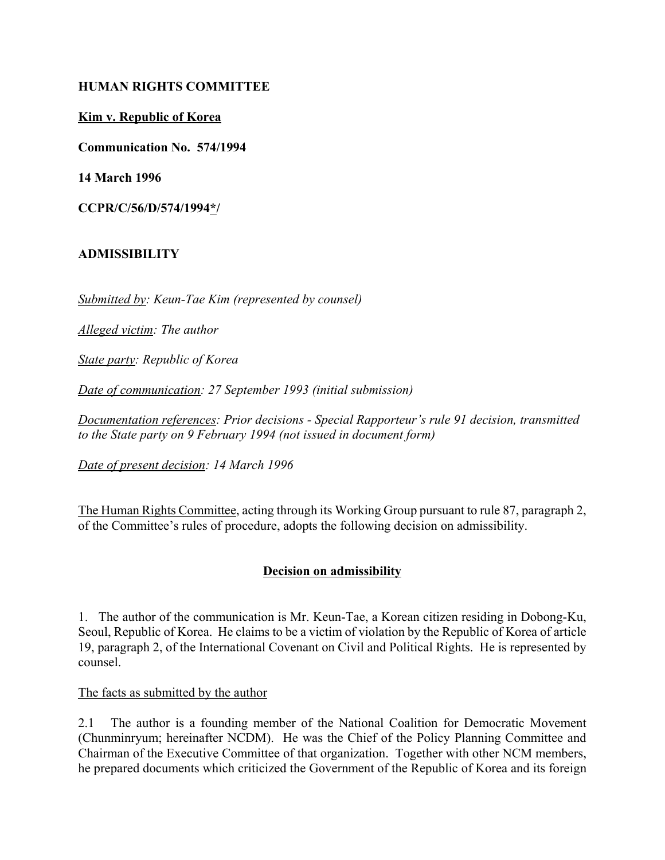### **HUMAN RIGHTS COMMITTEE**

### **Kim v. Republic of Korea**

**Communication No. 574/1994**

**14 March 1996**

**CCPR/C/56/D/574/1994\*/** 

### **ADMISSIBILITY**

*Submitted by: Keun-Tae Kim (represented by counsel)*

*Alleged victim: The author*

*State party: Republic of Korea*

*Date of communication: 27 September 1993 (initial submission)*

*Documentation references: Prior decisions - Special Rapporteur's rule 91 decision, transmitted to the State party on 9 February 1994 (not issued in document form)*

*Date of present decision: 14 March 1996*

The Human Rights Committee, acting through its Working Group pursuant to rule 87, paragraph 2, of the Committee's rules of procedure, adopts the following decision on admissibility.

## **Decision on admissibility**

1. The author of the communication is Mr. Keun-Tae, a Korean citizen residing in Dobong-Ku, Seoul, Republic of Korea. He claims to be a victim of violation by the Republic of Korea of article 19, paragraph 2, of the International Covenant on Civil and Political Rights. He is represented by counsel.

The facts as submitted by the author

2.1 The author is a founding member of the National Coalition for Democratic Movement (Chunminryum; hereinafter NCDM). He was the Chief of the Policy Planning Committee and Chairman of the Executive Committee of that organization. Together with other NCM members, he prepared documents which criticized the Government of the Republic of Korea and its foreign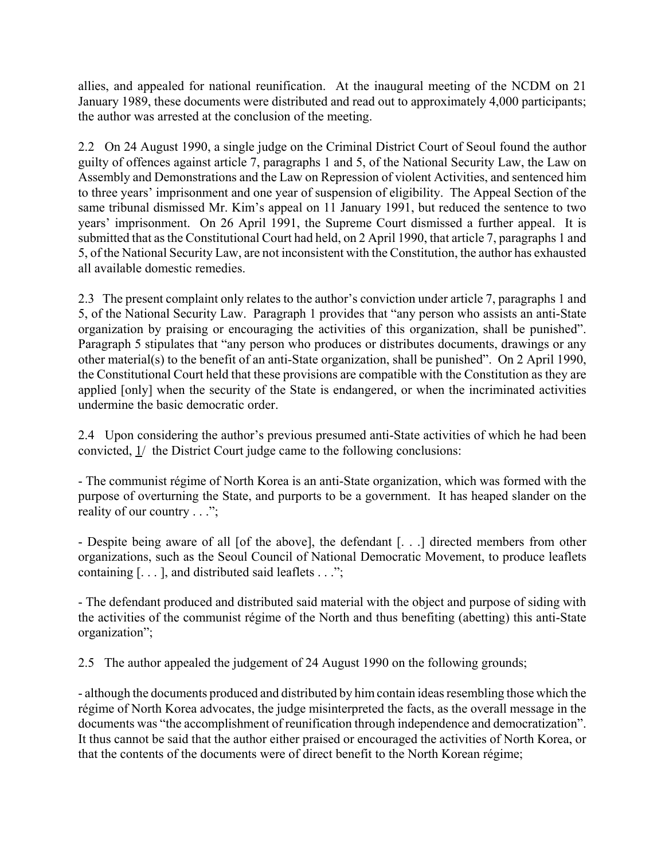allies, and appealed for national reunification. At the inaugural meeting of the NCDM on 21 January 1989, these documents were distributed and read out to approximately 4,000 participants; the author was arrested at the conclusion of the meeting.

2.2 On 24 August 1990, a single judge on the Criminal District Court of Seoul found the author guilty of offences against article 7, paragraphs 1 and 5, of the National Security Law, the Law on Assembly and Demonstrations and the Law on Repression of violent Activities, and sentenced him to three years' imprisonment and one year of suspension of eligibility. The Appeal Section of the same tribunal dismissed Mr. Kim's appeal on 11 January 1991, but reduced the sentence to two years' imprisonment. On 26 April 1991, the Supreme Court dismissed a further appeal. It is submitted that as the Constitutional Court had held, on 2 April 1990, that article 7, paragraphs 1 and 5, of the National Security Law, are not inconsistent with the Constitution, the author has exhausted all available domestic remedies.

2.3 The present complaint only relates to the author's conviction under article 7, paragraphs 1 and 5, of the National Security Law. Paragraph 1 provides that "any person who assists an anti-State" organization by praising or encouraging the activities of this organization, shall be punished". Paragraph 5 stipulates that "any person who produces or distributes documents, drawings or any other material(s) to the benefit of an anti-State organization, shall be punished". On 2 April 1990, the Constitutional Court held that these provisions are compatible with the Constitution as they are applied [only] when the security of the State is endangered, or when the incriminated activities undermine the basic democratic order.

2.4 Upon considering the author's previous presumed anti-State activities of which he had been convicted, 1/ the District Court judge came to the following conclusions:

- The communist rÈgime of North Korea is an anti-State organization, which was formed with the purpose of overturning the State, and purports to be a government. It has heaped slander on the reality of our country  $\ldots$ ";

- Despite being aware of all [of the above], the defendant [. . .] directed members from other organizations, such as the Seoul Council of National Democratic Movement, to produce leaflets containing  $[\dots]$ , and distributed said leaflets  $\dots$ ;

- The defendant produced and distributed said material with the object and purpose of siding with the activities of the communist régime of the North and thus benefiting (abetting) this anti-State organization";

2.5 The author appealed the judgement of 24 August 1990 on the following grounds;

- although the documents produced and distributed by him contain ideas resembling those which the régime of North Korea advocates, the judge misinterpreted the facts, as the overall message in the documents was "the accomplishment of reunification through independence and democratization". It thus cannot be said that the author either praised or encouraged the activities of North Korea, or that the contents of the documents were of direct benefit to the North Korean régime;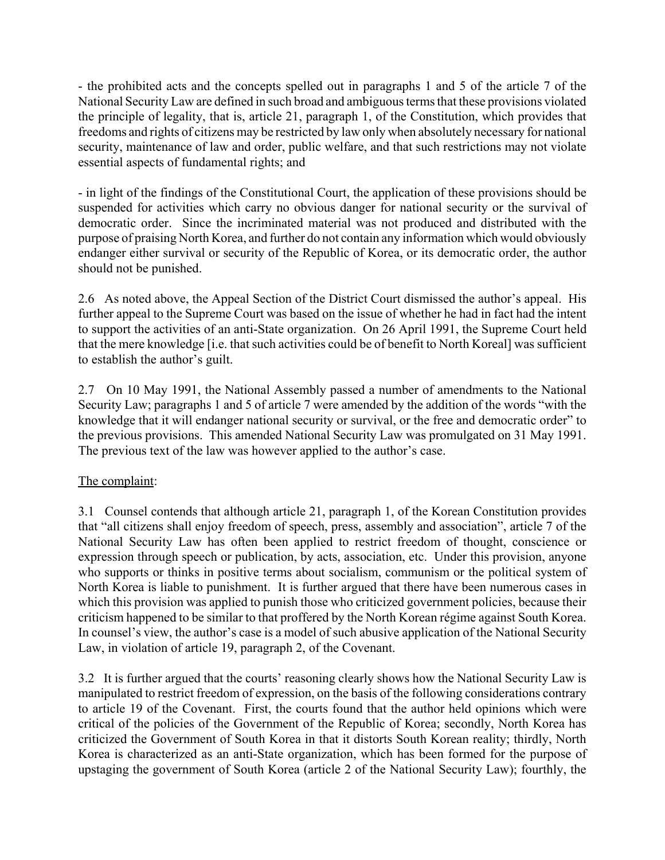- the prohibited acts and the concepts spelled out in paragraphs 1 and 5 of the article 7 of the National Security Law are defined in such broad and ambiguous terms that these provisions violated the principle of legality, that is, article 21, paragraph 1, of the Constitution, which provides that freedoms and rights of citizens may be restricted by law only when absolutely necessary for national security, maintenance of law and order, public welfare, and that such restrictions may not violate essential aspects of fundamental rights; and

- in light of the findings of the Constitutional Court, the application of these provisions should be suspended for activities which carry no obvious danger for national security or the survival of democratic order. Since the incriminated material was not produced and distributed with the purpose of praising North Korea, and further do not contain any information which would obviously endanger either survival or security of the Republic of Korea, or its democratic order, the author should not be punished.

2.6 As noted above, the Appeal Section of the District Court dismissed the author's appeal. His further appeal to the Supreme Court was based on the issue of whether he had in fact had the intent to support the activities of an anti-State organization. On 26 April 1991, the Supreme Court held that the mere knowledge [i.e. that such activities could be of benefit to North Koreal] was sufficient to establish the author's guilt.

2.7 On 10 May 1991, the National Assembly passed a number of amendments to the National Security Law; paragraphs 1 and 5 of article 7 were amended by the addition of the words "with the knowledge that it will endanger national security or survival, or the free and democratic order" to the previous provisions. This amended National Security Law was promulgated on 31 May 1991. The previous text of the law was however applied to the author's case.

# The complaint:

3.1 Counsel contends that although article 21, paragraph 1, of the Korean Constitution provides that "all citizens shall enjoy freedom of speech, press, assembly and association", article 7 of the National Security Law has often been applied to restrict freedom of thought, conscience or expression through speech or publication, by acts, association, etc. Under this provision, anyone who supports or thinks in positive terms about socialism, communism or the political system of North Korea is liable to punishment. It is further argued that there have been numerous cases in which this provision was applied to punish those who criticized government policies, because their criticism happened to be similar to that proffered by the North Korean régime against South Korea. In counsel's view, the author's case is a model of such abusive application of the National Security Law, in violation of article 19, paragraph 2, of the Covenant.

3.2 It is further argued that the courts' reasoning clearly shows how the National Security Law is manipulated to restrict freedom of expression, on the basis of the following considerations contrary to article 19 of the Covenant. First, the courts found that the author held opinions which were critical of the policies of the Government of the Republic of Korea; secondly, North Korea has criticized the Government of South Korea in that it distorts South Korean reality; thirdly, North Korea is characterized as an anti-State organization, which has been formed for the purpose of upstaging the government of South Korea (article 2 of the National Security Law); fourthly, the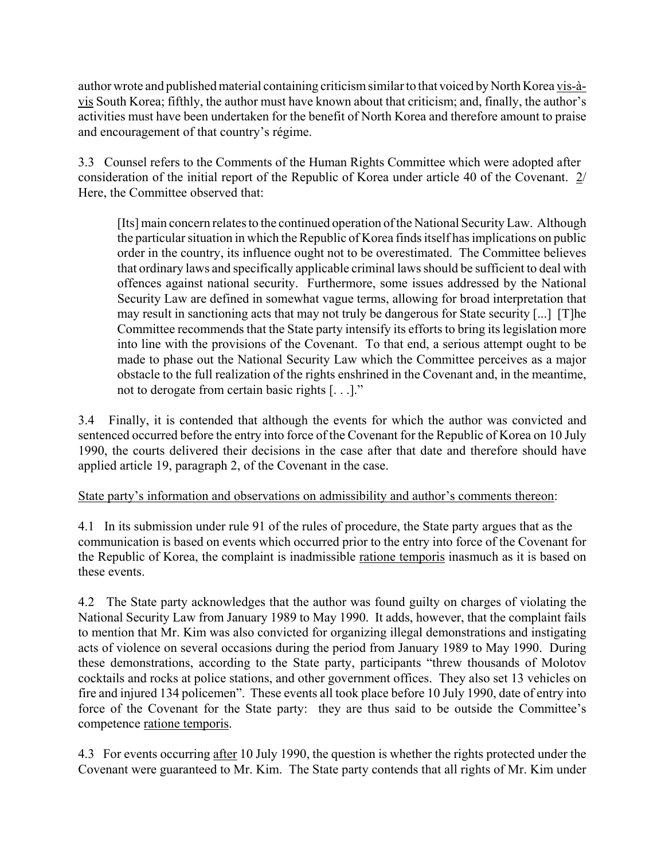author wrote and published material containing criticism similar to that voiced by North Korea vis-àvis South Korea; fifthly, the author must have known about that criticism; and, finally, the author's activities must have been undertaken for the benefit of North Korea and therefore amount to praise and encouragement of that country's régime.

3.3 Counsel refers to the Comments of the Human Rights Committee which were adopted after consideration of the initial report of the Republic of Korea under article 40 of the Covenant. 2/ Here, the Committee observed that:

[Its] main concern relates to the continued operation of the National Security Law. Although the particular situation in which the Republic of Korea finds itself has implications on public order in the country, its influence ought not to be overestimated. The Committee believes that ordinary laws and specifically applicable criminal laws should be sufficient to deal with offences against national security. Furthermore, some issues addressed by the National Security Law are defined in somewhat vague terms, allowing for broad interpretation that may result in sanctioning acts that may not truly be dangerous for State security [...] [T]he Committee recommends that the State party intensify its efforts to bring its legislation more into line with the provisions of the Covenant. To that end, a serious attempt ought to be made to phase out the National Security Law which the Committee perceives as a major obstacle to the full realization of the rights enshrined in the Covenant and, in the meantime, not to derogate from certain basic rights  $[...]$ .

3.4 Finally, it is contended that although the events for which the author was convicted and sentenced occurred before the entry into force of the Covenant for the Republic of Korea on 10 July 1990, the courts delivered their decisions in the case after that date and therefore should have applied article 19, paragraph 2, of the Covenant in the case.

# State party's information and observations on admissibility and author's comments thereon:

4.1 In its submission under rule 91 of the rules of procedure, the State party argues that as the communication is based on events which occurred prior to the entry into force of the Covenant for the Republic of Korea, the complaint is inadmissible ratione temporis inasmuch as it is based on these events.

4.2 The State party acknowledges that the author was found guilty on charges of violating the National Security Law from January 1989 to May 1990. It adds, however, that the complaint fails to mention that Mr. Kim was also convicted for organizing illegal demonstrations and instigating acts of violence on several occasions during the period from January 1989 to May 1990. During these demonstrations, according to the State party, participants "threw thousands of Molotov" cocktails and rocks at police stations, and other government offices. They also set 13 vehicles on fire and injured 134 policemen". These events all took place before 10 July 1990, date of entry into force of the Covenant for the State party: they are thus said to be outside the Committee's competence ratione temporis.

4.3 For events occurring after 10 July 1990, the question is whether the rights protected under the Covenant were guaranteed to Mr. Kim. The State party contends that all rights of Mr. Kim under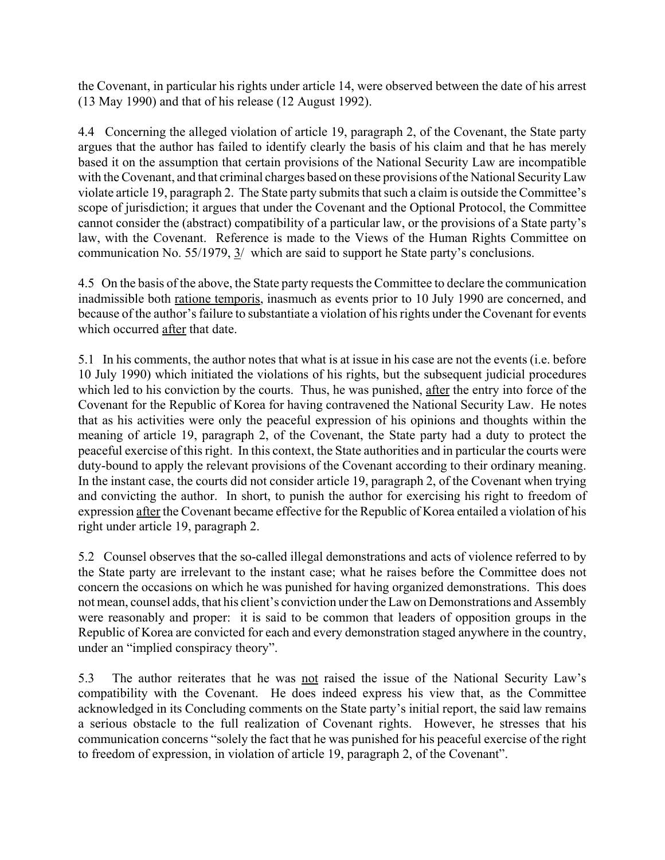the Covenant, in particular his rights under article 14, were observed between the date of his arrest (13 May 1990) and that of his release (12 August 1992).

4.4 Concerning the alleged violation of article 19, paragraph 2, of the Covenant, the State party argues that the author has failed to identify clearly the basis of his claim and that he has merely based it on the assumption that certain provisions of the National Security Law are incompatible with the Covenant, and that criminal charges based on these provisions of the National Security Law violate article 19, paragraph 2. The State party submits that such a claim is outside the Committee's scope of jurisdiction; it argues that under the Covenant and the Optional Protocol, the Committee cannot consider the (abstract) compatibility of a particular law, or the provisions of a State party's law, with the Covenant. Reference is made to the Views of the Human Rights Committee on communication No. 55/1979, 3/ which are said to support he State party's conclusions.

4.5 On the basis of the above, the State party requests the Committee to declare the communication inadmissible both ratione temporis, inasmuch as events prior to 10 July 1990 are concerned, and because of the author's failure to substantiate a violation of his rights under the Covenant for events which occurred after that date.

5.1 In his comments, the author notes that what is at issue in his case are not the events (i.e. before 10 July 1990) which initiated the violations of his rights, but the subsequent judicial procedures which led to his conviction by the courts. Thus, he was punished, after the entry into force of the Covenant for the Republic of Korea for having contravened the National Security Law. He notes that as his activities were only the peaceful expression of his opinions and thoughts within the meaning of article 19, paragraph 2, of the Covenant, the State party had a duty to protect the peaceful exercise of this right. In this context, the State authorities and in particular the courts were duty-bound to apply the relevant provisions of the Covenant according to their ordinary meaning. In the instant case, the courts did not consider article 19, paragraph 2, of the Covenant when trying and convicting the author. In short, to punish the author for exercising his right to freedom of expression after the Covenant became effective for the Republic of Korea entailed a violation of his right under article 19, paragraph 2.

5.2 Counsel observes that the so-called illegal demonstrations and acts of violence referred to by the State party are irrelevant to the instant case; what he raises before the Committee does not concern the occasions on which he was punished for having organized demonstrations. This does not mean, counsel adds, that his client's conviction under the Law on Demonstrations and Assembly were reasonably and proper: it is said to be common that leaders of opposition groups in the Republic of Korea are convicted for each and every demonstration staged anywhere in the country, under an "implied conspiracy theory".

5.3 The author reiterates that he was not raised the issue of the National Security Law's compatibility with the Covenant. He does indeed express his view that, as the Committee acknowledged in its Concluding comments on the State party's initial report, the said law remains a serious obstacle to the full realization of Covenant rights. However, he stresses that his communication concerns "solely the fact that he was punished for his peaceful exercise of the right to freedom of expression, in violation of article 19, paragraph 2, of the Covenant".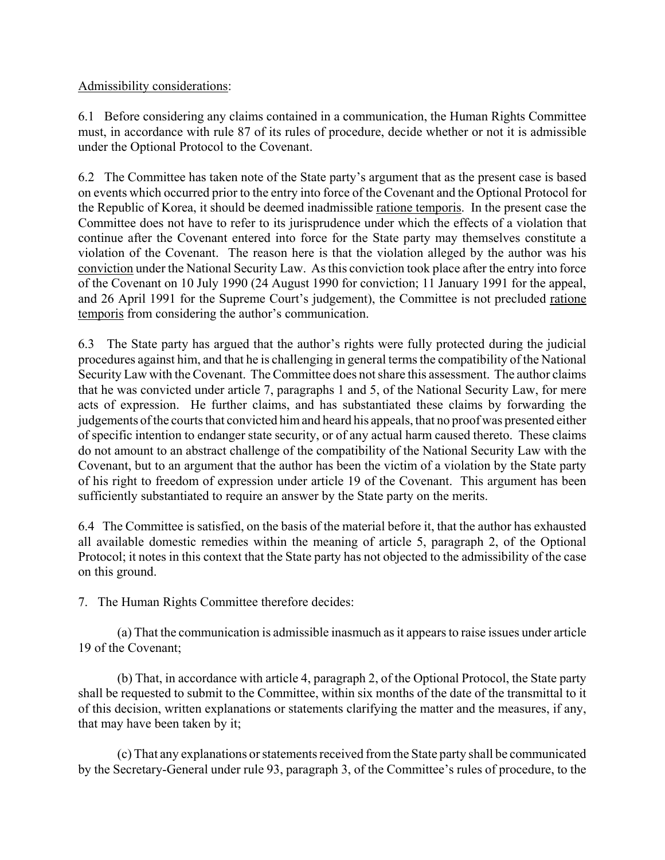Admissibility considerations:

6.1 Before considering any claims contained in a communication, the Human Rights Committee must, in accordance with rule 87 of its rules of procedure, decide whether or not it is admissible under the Optional Protocol to the Covenant.

6.2 The Committee has taken note of the State party's argument that as the present case is based on events which occurred prior to the entry into force of the Covenant and the Optional Protocol for the Republic of Korea, it should be deemed inadmissible ratione temporis. In the present case the Committee does not have to refer to its jurisprudence under which the effects of a violation that continue after the Covenant entered into force for the State party may themselves constitute a violation of the Covenant. The reason here is that the violation alleged by the author was his conviction under the National Security Law. As this conviction took place after the entry into force of the Covenant on 10 July 1990 (24 August 1990 for conviction; 11 January 1991 for the appeal, and 26 April 1991 for the Supreme Court's judgement), the Committee is not precluded ratione temporis from considering the author's communication.

6.3 The State party has argued that the author's rights were fully protected during the judicial procedures against him, and that he is challenging in general terms the compatibility of the National Security Law with the Covenant. The Committee does not share this assessment. The author claims that he was convicted under article 7, paragraphs 1 and 5, of the National Security Law, for mere acts of expression. He further claims, and has substantiated these claims by forwarding the judgements of the courts that convicted him and heard his appeals, that no proof was presented either of specific intention to endanger state security, or of any actual harm caused thereto. These claims do not amount to an abstract challenge of the compatibility of the National Security Law with the Covenant, but to an argument that the author has been the victim of a violation by the State party of his right to freedom of expression under article 19 of the Covenant. This argument has been sufficiently substantiated to require an answer by the State party on the merits.

6.4 The Committee is satisfied, on the basis of the material before it, that the author has exhausted all available domestic remedies within the meaning of article 5, paragraph 2, of the Optional Protocol; it notes in this context that the State party has not objected to the admissibility of the case on this ground.

7. The Human Rights Committee therefore decides:

(a) That the communication is admissible inasmuch as it appears to raise issues under article 19 of the Covenant;

(b) That, in accordance with article 4, paragraph 2, of the Optional Protocol, the State party shall be requested to submit to the Committee, within six months of the date of the transmittal to it of this decision, written explanations or statements clarifying the matter and the measures, if any, that may have been taken by it;

(c) That any explanations or statements received from the State party shall be communicated by the Secretary-General under rule 93, paragraph 3, of the Committee's rules of procedure, to the